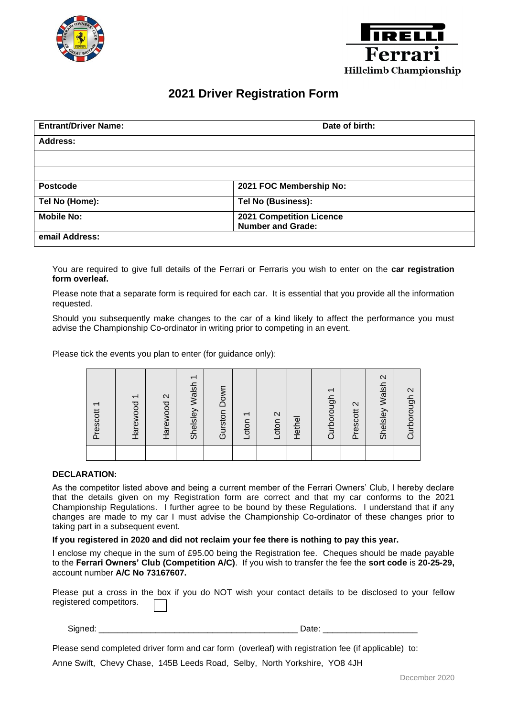



## **2021 Driver Registration Form**

| <b>Entrant/Driver Name:</b> | Date of birth:                                              |  |  |
|-----------------------------|-------------------------------------------------------------|--|--|
| <b>Address:</b>             |                                                             |  |  |
|                             |                                                             |  |  |
|                             |                                                             |  |  |
| <b>Postcode</b>             | 2021 FOC Membership No:                                     |  |  |
| Tel No (Home):              | Tel No (Business):                                          |  |  |
| <b>Mobile No:</b>           | <b>2021 Competition Licence</b><br><b>Number and Grade:</b> |  |  |
| email Address:              |                                                             |  |  |

You are required to give full details of the Ferrari or Ferraris you wish to enter on the **car registration form overleaf.**

Please note that a separate form is required for each car. It is essential that you provide all the information requested.

Should you subsequently make changes to the car of a kind likely to affect the performance you must advise the Championship Co-ordinator in writing prior to competing in an event.

Please tick the events you plan to enter (for guidance only):

|                                                                                                                                                                                                                                                                                                                                                                                                                             | Prescott 1 | Harewood 1 | $\mathbf{\Omega}$<br>Harewood | Shelsley Walsh 1 | Gurston Down | Loton | Loton <sub>2</sub> | Hethel | Curborough 1                                                                                                    | $\mathbf{\Omega}$<br>Prescott | $\mathbf{\Omega}$<br>Shelsley Walsh | $\boldsymbol{\sim}$<br>Curborough |
|-----------------------------------------------------------------------------------------------------------------------------------------------------------------------------------------------------------------------------------------------------------------------------------------------------------------------------------------------------------------------------------------------------------------------------|------------|------------|-------------------------------|------------------|--------------|-------|--------------------|--------|-----------------------------------------------------------------------------------------------------------------|-------------------------------|-------------------------------------|-----------------------------------|
|                                                                                                                                                                                                                                                                                                                                                                                                                             |            |            |                               |                  |              |       |                    |        |                                                                                                                 |                               |                                     |                                   |
| <b>DECLARATION:</b>                                                                                                                                                                                                                                                                                                                                                                                                         |            |            |                               |                  |              |       |                    |        |                                                                                                                 |                               |                                     |                                   |
| As the competitor listed above and being a current member of the Ferrari Owners' Club, I hereby<br>that the details given on my Registration form are correct and that my car conforms to t<br>Championship Regulations. I further agree to be bound by these Regulations. I understand th<br>changes are made to my car I must advise the Championship Co-ordinator of these changes<br>taking part in a subsequent event. |            |            |                               |                  |              |       |                    |        |                                                                                                                 |                               |                                     |                                   |
| If you registered in 2020 and did not reclaim your fee there is nothing to pay this year.                                                                                                                                                                                                                                                                                                                                   |            |            |                               |                  |              |       |                    |        |                                                                                                                 |                               |                                     |                                   |
| I enclose my cheque in the sum of £95.00 being the Registration fee. Cheques should be made<br>to the Ferrari Owners' Club (Competition A/C). If you wish to transfer the fee the sort code is 2<br>account number A/C No 73167607.                                                                                                                                                                                         |            |            |                               |                  |              |       |                    |        |                                                                                                                 |                               |                                     |                                   |
| Please put a cross in the box if you do NOT wish your contact details to be disclosed to yo<br>registered competitors.                                                                                                                                                                                                                                                                                                      |            |            |                               |                  |              |       |                    |        |                                                                                                                 |                               |                                     |                                   |
| Signed:                                                                                                                                                                                                                                                                                                                                                                                                                     |            |            |                               |                  |              |       |                    |        | Date: and the part of the part of the part of the part of the part of the part of the part of the part of the p |                               |                                     |                                   |
| Please send completed driver form and car form (overleaf) with registration fee (if applicable) to:                                                                                                                                                                                                                                                                                                                         |            |            |                               |                  |              |       |                    |        |                                                                                                                 |                               |                                     |                                   |
|                                                                                                                                                                                                                                                                                                                                                                                                                             |            |            |                               |                  |              |       |                    |        |                                                                                                                 |                               |                                     |                                   |
| Anne Swift, Chevy Chase, 145B Leeds Road, Selby, North Yorkshire, YO8 4JH                                                                                                                                                                                                                                                                                                                                                   |            |            |                               |                  |              |       |                    |        |                                                                                                                 |                               |                                     |                                   |

## **DECLARATION:**

As the competitor listed above and being a current member of the Ferrari Owners' Club, I hereby declare that the details given on my Registration form are correct and that my car conforms to the 2021 Championship Regulations. I further agree to be bound by these Regulations. I understand that if any changes are made to my car I must advise the Championship Co-ordinator of these changes prior to taking part in a subsequent event.

## **If you registered in 2020 and did not reclaim your fee there is nothing to pay this year.**

I enclose my cheque in the sum of £95.00 being the Registration fee. Cheques should be made payable to the **Ferrari Owners' Club (Competition A/C)**. If you wish to transfer the fee the **sort code** is **20-25-29,**  account number **A/C No 73167607.**

Please put a cross in the box if you do NOT wish your contact details to be disclosed to your fellow registered competitors.